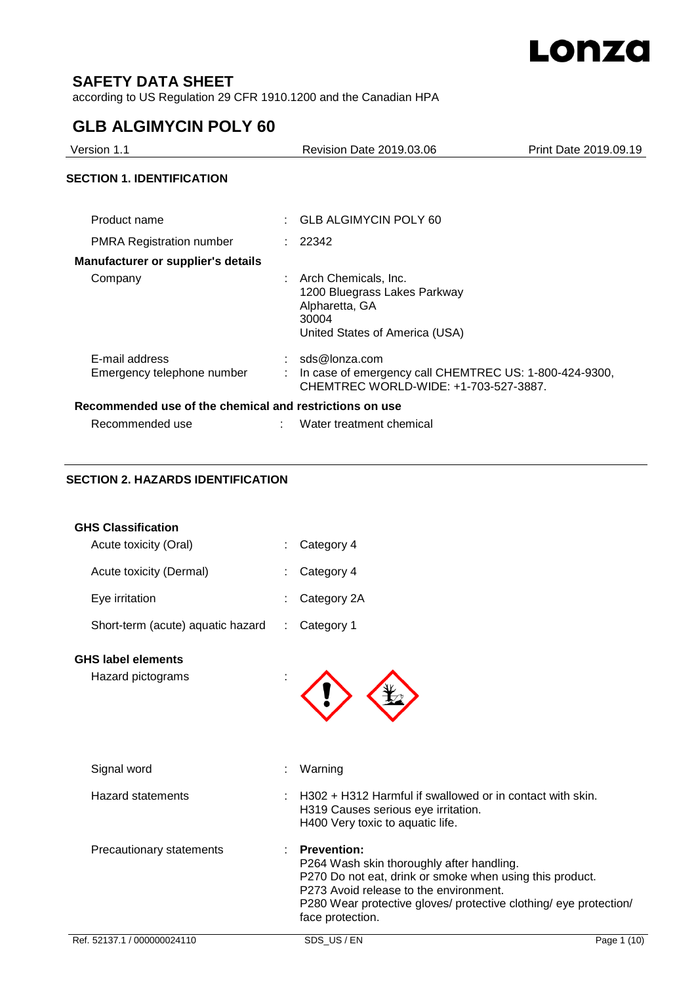

# **SAFETY DATA SHEET**

according to US Regulation 29 CFR 1910.1200 and the Canadian HPA

# **GLB ALGIMYCIN POLY 60**

| Version 1.1                                             |  | Revision Date 2019.03.06                                                                                             | Print Date 2019.09.19 |  |
|---------------------------------------------------------|--|----------------------------------------------------------------------------------------------------------------------|-----------------------|--|
| <b>SECTION 1. IDENTIFICATION</b>                        |  |                                                                                                                      |                       |  |
| Product name                                            |  | $\therefore$ GLB ALGIMYCIN POLY 60                                                                                   |                       |  |
| <b>PMRA Registration number</b>                         |  | : 22342                                                                                                              |                       |  |
| <b>Manufacturer or supplier's details</b>               |  |                                                                                                                      |                       |  |
| Company                                                 |  | Arch Chemicals, Inc.<br>1200 Bluegrass Lakes Parkway<br>Alpharetta, GA<br>30004<br>United States of America (USA)    |                       |  |
| E-mail address<br>Emergency telephone number            |  | $:$ sds@lonza.com<br>In case of emergency call CHEMTREC US: 1-800-424-9300,<br>CHEMTREC WORLD-WIDE: +1-703-527-3887. |                       |  |
| Recommended use of the chemical and restrictions on use |  |                                                                                                                      |                       |  |
| Recommended use                                         |  | Water treatment chemical                                                                                             |                       |  |

## **SECTION 2. HAZARDS IDENTIFICATION**

| <b>GHS Classification</b>         |                                                                                                                                                                                                                                                                |             |
|-----------------------------------|----------------------------------------------------------------------------------------------------------------------------------------------------------------------------------------------------------------------------------------------------------------|-------------|
| Acute toxicity (Oral)             | Category 4                                                                                                                                                                                                                                                     |             |
| Acute toxicity (Dermal)           | Category 4                                                                                                                                                                                                                                                     |             |
| Eye irritation                    | Category 2A                                                                                                                                                                                                                                                    |             |
| Short-term (acute) aquatic hazard | Category 1                                                                                                                                                                                                                                                     |             |
| <b>GHS label elements</b>         |                                                                                                                                                                                                                                                                |             |
| Hazard pictograms                 |                                                                                                                                                                                                                                                                |             |
| Signal word                       | Warning                                                                                                                                                                                                                                                        |             |
| <b>Hazard statements</b>          | H302 + H312 Harmful if swallowed or in contact with skin.<br>H319 Causes serious eye irritation.<br>H400 Very toxic to aquatic life.                                                                                                                           |             |
| Precautionary statements          | <b>Prevention:</b><br>P264 Wash skin thoroughly after handling.<br>P270 Do not eat, drink or smoke when using this product.<br>P273 Avoid release to the environment.<br>P280 Wear protective gloves/ protective clothing/ eye protection/<br>face protection. |             |
| Ref. 52137.1 / 000000024110       | SDS US/EN                                                                                                                                                                                                                                                      | Page 1 (10) |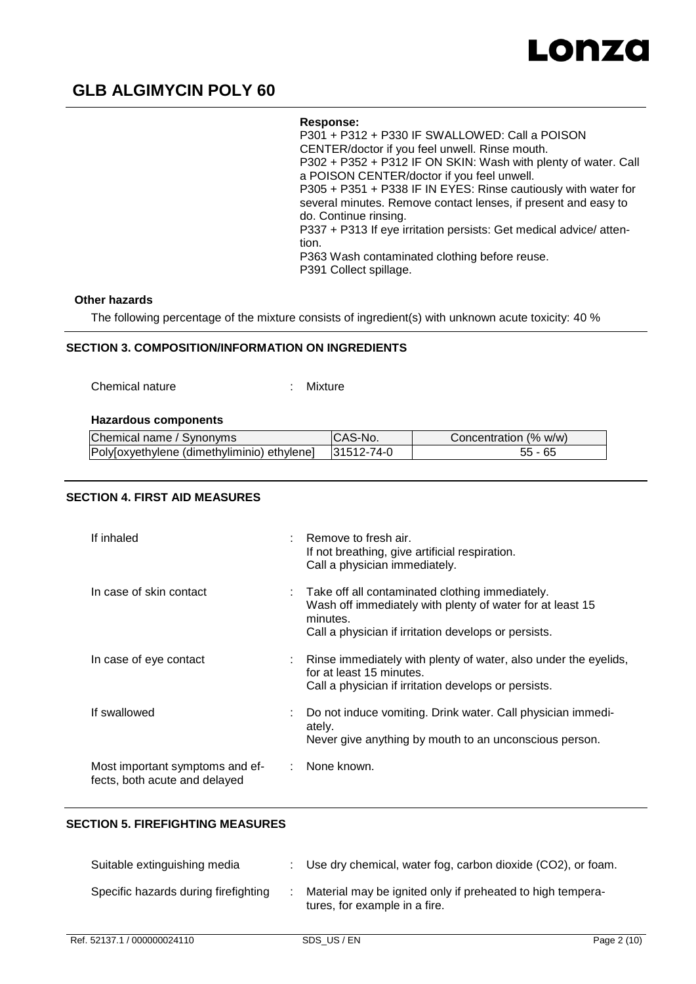

#### **Response:**

P301 + P312 + P330 IF SWALLOWED: Call a POISON CENTER/doctor if you feel unwell. Rinse mouth. P302 + P352 + P312 IF ON SKIN: Wash with plenty of water. Call a POISON CENTER/doctor if you feel unwell. P305 + P351 + P338 IF IN EYES: Rinse cautiously with water for several minutes. Remove contact lenses, if present and easy to do. Continue rinsing. P337 + P313 If eye irritation persists: Get medical advice/ attention. P363 Wash contaminated clothing before reuse. P391 Collect spillage.

### **Other hazards**

The following percentage of the mixture consists of ingredient(s) with unknown acute toxicity: 40 %

### **SECTION 3. COMPOSITION/INFORMATION ON INGREDIENTS**

Chemical nature : Mixture

#### **Hazardous components**

| Chemical name / Synonyms                    | No.        | Concentration (% w/w) |
|---------------------------------------------|------------|-----------------------|
| Polyloxyethylene (dimethyliminio) ethylene] | 31512-74-0 | Uw                    |

## **SECTION 4. FIRST AID MEASURES**

| If inhaled                                                       | Remove to fresh air.<br>If not breathing, give artificial respiration.<br>Call a physician immediately.                                                                          |
|------------------------------------------------------------------|----------------------------------------------------------------------------------------------------------------------------------------------------------------------------------|
| In case of skin contact                                          | Take off all contaminated clothing immediately.<br>Wash off immediately with plenty of water for at least 15<br>minutes.<br>Call a physician if irritation develops or persists. |
| In case of eye contact                                           | Rinse immediately with plenty of water, also under the eyelids,<br>for at least 15 minutes.<br>Call a physician if irritation develops or persists.                              |
| If swallowed                                                     | Do not induce vomiting. Drink water. Call physician immedi-<br>ately.<br>Never give anything by mouth to an unconscious person.                                                  |
| Most important symptoms and ef-<br>fects, both acute and delayed | : None known.                                                                                                                                                                    |

### **SECTION 5. FIREFIGHTING MEASURES**

| Suitable extinguishing media         | : Use dry chemical, water fog, carbon dioxide (CO2), or foam.                               |
|--------------------------------------|---------------------------------------------------------------------------------------------|
| Specific hazards during firefighting | Material may be ignited only if preheated to high tempera-<br>tures, for example in a fire. |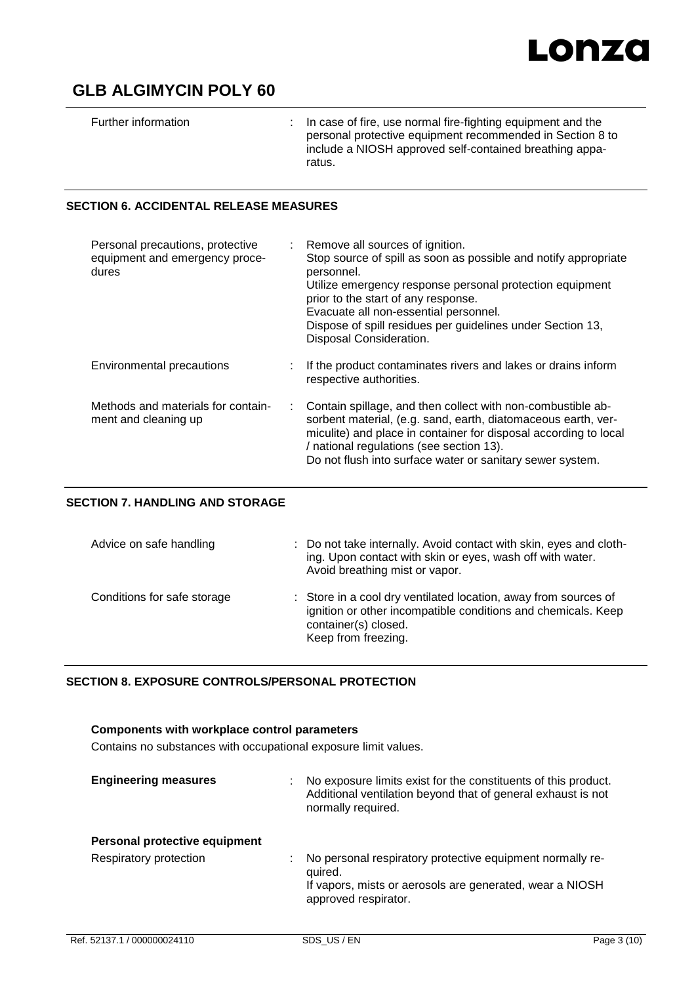# Lonza

# **GLB ALGIMYCIN POLY 60**

| Further information |  | $\therefore$ In case of fire, use normal fire-fighting equipment and the<br>personal protective equipment recommended in Section 8 to<br>include a NIOSH approved self-contained breathing appa-<br>ratus. |
|---------------------|--|------------------------------------------------------------------------------------------------------------------------------------------------------------------------------------------------------------|
|---------------------|--|------------------------------------------------------------------------------------------------------------------------------------------------------------------------------------------------------------|

### **SECTION 6. ACCIDENTAL RELEASE MEASURES**

| Personal precautions, protective<br>equipment and emergency proce-<br>dures | : Remove all sources of ignition.<br>Stop source of spill as soon as possible and notify appropriate<br>personnel.<br>Utilize emergency response personal protection equipment<br>prior to the start of any response.<br>Evacuate all non-essential personnel.<br>Dispose of spill residues per guidelines under Section 13,<br>Disposal Consideration. |
|-----------------------------------------------------------------------------|---------------------------------------------------------------------------------------------------------------------------------------------------------------------------------------------------------------------------------------------------------------------------------------------------------------------------------------------------------|
| Environmental precautions                                                   | If the product contaminates rivers and lakes or drains inform<br>respective authorities.                                                                                                                                                                                                                                                                |
| Methods and materials for contain-<br>÷<br>ment and cleaning up             | Contain spillage, and then collect with non-combustible ab-<br>sorbent material, (e.g. sand, earth, diatomaceous earth, ver-<br>miculite) and place in container for disposal according to local<br>/ national regulations (see section 13).<br>Do not flush into surface water or sanitary sewer system.                                               |

### **SECTION 7. HANDLING AND STORAGE**

| Advice on safe handling     | : Do not take internally. Avoid contact with skin, eyes and cloth-<br>ing. Upon contact with skin or eyes, wash off with water.<br>Avoid breathing mist or vapor.               |
|-----------------------------|---------------------------------------------------------------------------------------------------------------------------------------------------------------------------------|
| Conditions for safe storage | : Store in a cool dry ventilated location, away from sources of<br>ignition or other incompatible conditions and chemicals. Keep<br>container(s) closed.<br>Keep from freezing. |

## **SECTION 8. EXPOSURE CONTROLS/PERSONAL PROTECTION**

# **Components with workplace control parameters** Contains no substances with occupational exposure limit values. **Engineering measures** : No exposure limits exist for the constituents of this product. Additional ventilation beyond that of general exhaust is not normally required. **Personal protective equipment** Respiratory protection : No personal respiratory protective equipment normally required. If vapors, mists or aerosols are generated, wear a NIOSH approved respirator.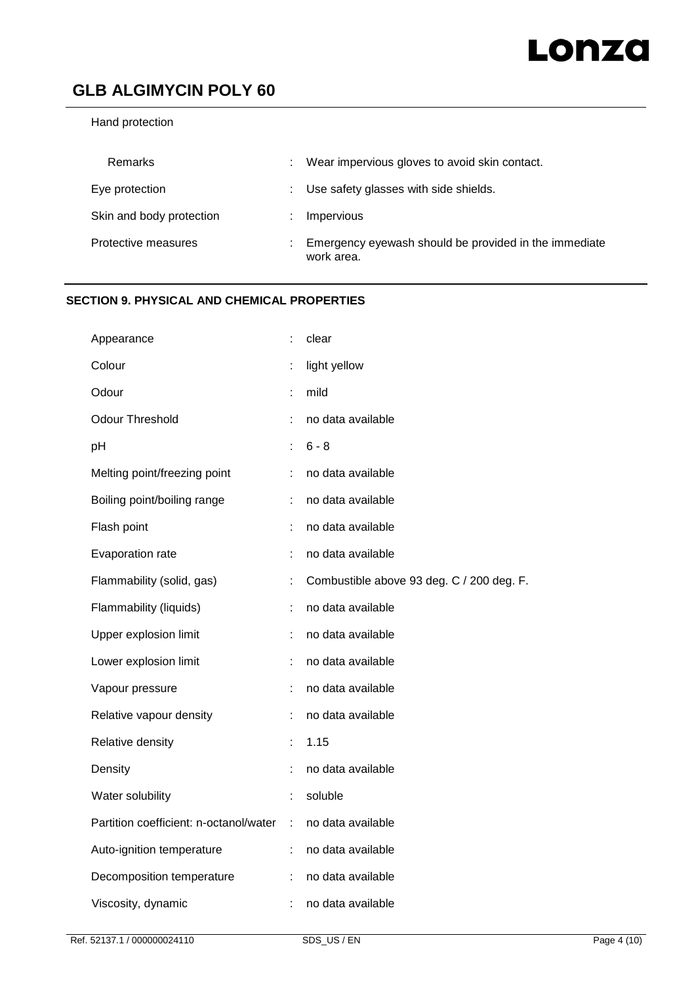## Hand protection

| Remarks                  | ÷. | Wear impervious gloves to avoid skin contact.                       |
|--------------------------|----|---------------------------------------------------------------------|
| Eye protection           |    | : Use safety glasses with side shields.                             |
| Skin and body protection |    | Impervious                                                          |
| Protective measures      |    | Emergency eyewash should be provided in the immediate<br>work area. |

## **SECTION 9. PHYSICAL AND CHEMICAL PROPERTIES**

| Appearance                             |    | clear                                     |
|----------------------------------------|----|-------------------------------------------|
| Colour                                 |    | light yellow                              |
| Odour                                  |    | mild                                      |
| <b>Odour Threshold</b>                 | ł. | no data available                         |
| pH                                     | ÷  | $6 - 8$                                   |
| Melting point/freezing point           | ÷  | no data available                         |
| Boiling point/boiling range            | ÷  | no data available                         |
| Flash point                            | ÷  | no data available                         |
| Evaporation rate                       | t  | no data available                         |
| Flammability (solid, gas)              | ÷  | Combustible above 93 deg. C / 200 deg. F. |
| Flammability (liquids)                 |    | no data available                         |
| Upper explosion limit                  | ÷  | no data available                         |
| Lower explosion limit                  |    | no data available                         |
| Vapour pressure                        | ÷  | no data available                         |
| Relative vapour density                | ÷  | no data available                         |
| Relative density                       |    | 1.15                                      |
| Density                                |    | no data available                         |
| Water solubility                       |    | soluble                                   |
| Partition coefficient: n-octanol/water | ÷  | no data available                         |
| Auto-ignition temperature              | ÷. | no data available                         |
| Decomposition temperature              | ÷  | no data available                         |
| Viscosity, dynamic                     | ÷  | no data available                         |
|                                        |    |                                           |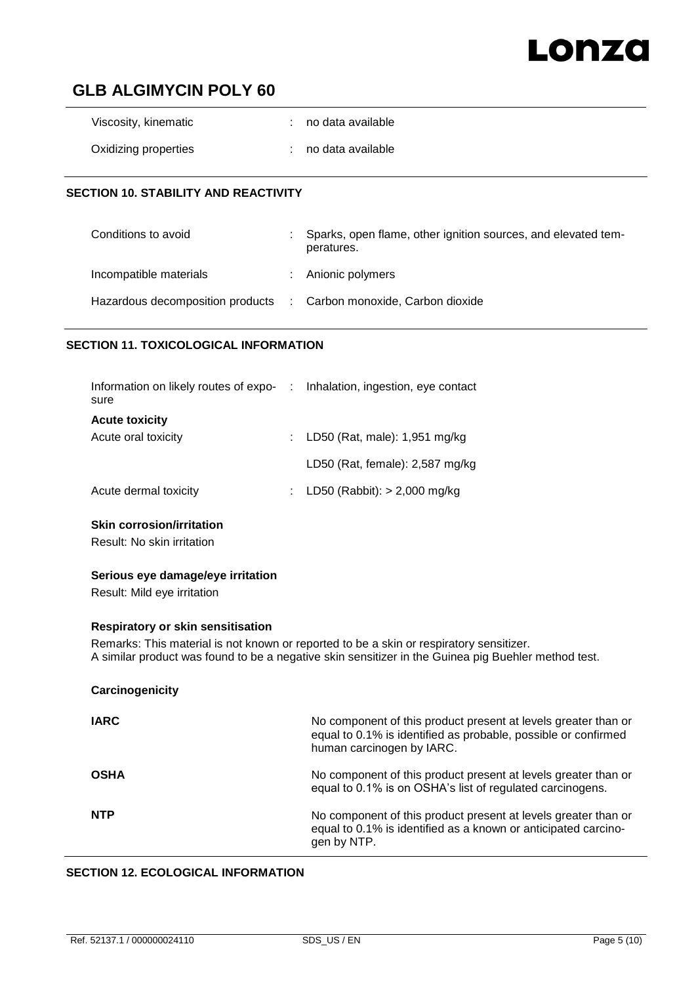# Lonza

# **GLB ALGIMYCIN POLY 60**

| Viscosity, kinematic | : no data available |
|----------------------|---------------------|
| Oxidizing properties | : no data available |

## **SECTION 10. STABILITY AND REACTIVITY**

| Conditions to avoid                                                | Sparks, open flame, other ignition sources, and elevated tem-<br>peratures. |
|--------------------------------------------------------------------|-----------------------------------------------------------------------------|
| Incompatible materials                                             | : Anionic polymers                                                          |
| Hazardous decomposition products : Carbon monoxide, Carbon dioxide |                                                                             |

## **SECTION 11. TOXICOLOGICAL INFORMATION**

| Information on likely routes of expo- | : Inhalation, ingestion, eye contact |
|---------------------------------------|--------------------------------------|
|                                       |                                      |
|                                       | : LD50 (Rat, male): $1,951$ mg/kg    |
|                                       | LD50 (Rat, female): 2,587 mg/kg      |
|                                       | : LD50 (Rabbit): $> 2,000$ mg/kg     |
|                                       |                                      |

## **Skin corrosion/irritation**

Result: No skin irritation

### **Serious eye damage/eye irritation**

Result: Mild eye irritation

## **Respiratory or skin sensitisation**

Remarks: This material is not known or reported to be a skin or respiratory sensitizer. A similar product was found to be a negative skin sensitizer in the Guinea pig Buehler method test.

| Carcinogenicity |                                                                                                                                                               |
|-----------------|---------------------------------------------------------------------------------------------------------------------------------------------------------------|
| <b>IARC</b>     | No component of this product present at levels greater than or<br>equal to 0.1% is identified as probable, possible or confirmed<br>human carcinogen by IARC. |
| <b>OSHA</b>     | No component of this product present at levels greater than or<br>equal to 0.1% is on OSHA's list of regulated carcinogens.                                   |
| <b>NTP</b>      | No component of this product present at levels greater than or<br>equal to 0.1% is identified as a known or anticipated carcino-<br>gen by NTP.               |

### **SECTION 12. ECOLOGICAL INFORMATION**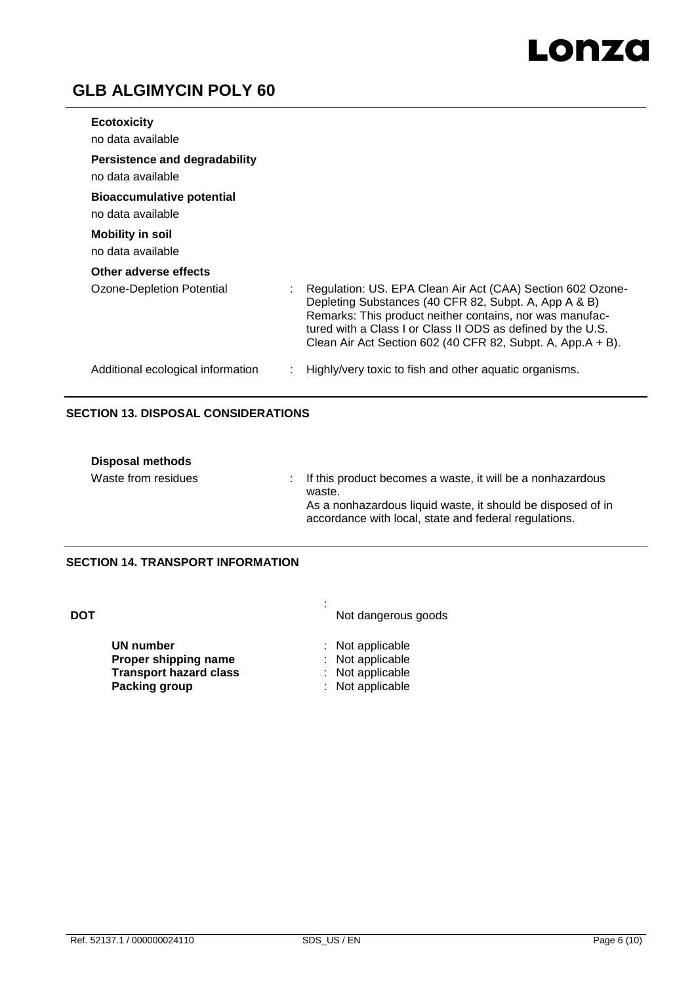# Lonza

# **GLB ALGIMYCIN POLY 60**

| <b>Ecotoxicity</b>                                        |                                                                                                                                                                                                                                                                                                               |
|-----------------------------------------------------------|---------------------------------------------------------------------------------------------------------------------------------------------------------------------------------------------------------------------------------------------------------------------------------------------------------------|
| no data available                                         |                                                                                                                                                                                                                                                                                                               |
| <b>Persistence and degradability</b><br>no data available |                                                                                                                                                                                                                                                                                                               |
| <b>Bioaccumulative potential</b><br>no data available     |                                                                                                                                                                                                                                                                                                               |
| <b>Mobility in soil</b><br>no data available              |                                                                                                                                                                                                                                                                                                               |
| Other adverse effects                                     |                                                                                                                                                                                                                                                                                                               |
| Ozone-Depletion Potential                                 | Regulation: US. EPA Clean Air Act (CAA) Section 602 Ozone-<br>Depleting Substances (40 CFR 82, Subpt. A, App A & B)<br>Remarks: This product neither contains, nor was manufac-<br>tured with a Class I or Class II ODS as defined by the U.S.<br>Clean Air Act Section 602 (40 CFR 82, Subpt. A, App.A + B). |
| Additional ecological information                         | Highly/very toxic to fish and other aquatic organisms.                                                                                                                                                                                                                                                        |

## **SECTION 13. DISPOSAL CONSIDERATIONS**

| <b>Disposal methods</b> |                                                                                                                                                                                                |
|-------------------------|------------------------------------------------------------------------------------------------------------------------------------------------------------------------------------------------|
| Waste from residues     | : If this product becomes a waste, it will be a nonhazardous<br>waste.<br>As a nonhazardous liquid waste, it should be disposed of in<br>accordance with local, state and federal regulations. |

## **SECTION 14. TRANSPORT INFORMATION**

| <b>DOT</b> |                               | Not dangerous goods |
|------------|-------------------------------|---------------------|
|            | UN number                     | : Not applicable    |
|            | Proper shipping name          | : Not applicable    |
|            | <b>Transport hazard class</b> | : Not applicable    |
|            | Packing group                 | : Not applicable    |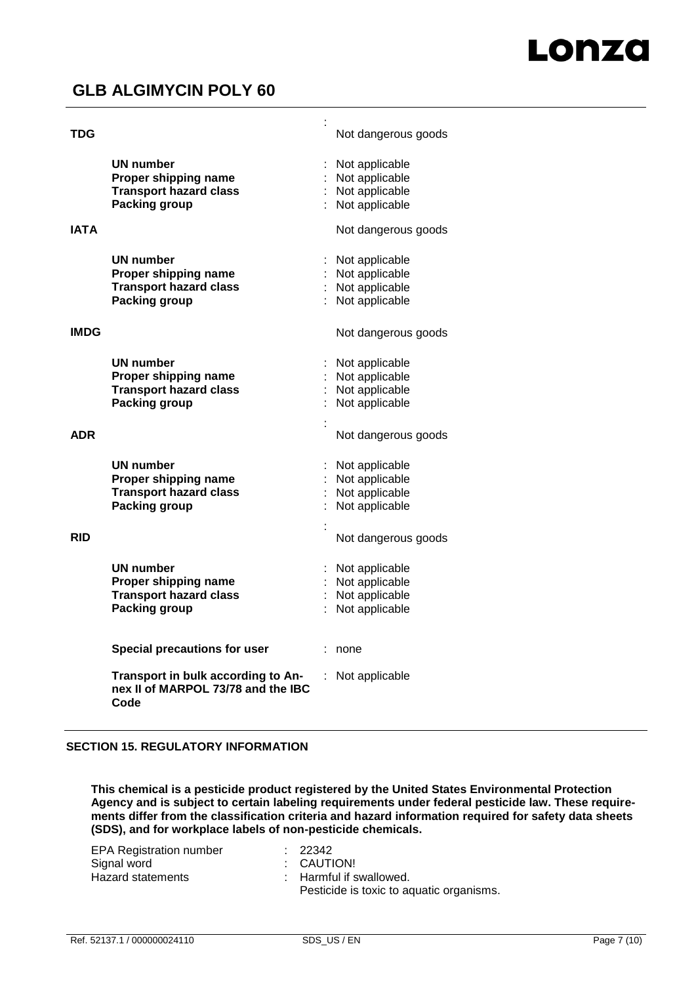| TDG         |                                                                                                   | Not dangerous goods                                                          |
|-------------|---------------------------------------------------------------------------------------------------|------------------------------------------------------------------------------|
|             | <b>UN number</b><br>Proper shipping name<br><b>Transport hazard class</b><br>Packing group        | Not applicable<br>: Not applicable<br>Not applicable<br>Not applicable       |
| <b>IATA</b> |                                                                                                   | Not dangerous goods                                                          |
|             | <b>UN number</b><br>Proper shipping name<br><b>Transport hazard class</b><br><b>Packing group</b> | : Not applicable<br>: Not applicable<br>: Not applicable<br>: Not applicable |
| <b>IMDG</b> |                                                                                                   | Not dangerous goods                                                          |
|             | <b>UN number</b><br>Proper shipping name<br><b>Transport hazard class</b><br><b>Packing group</b> | Not applicable<br>Not applicable<br>Not applicable<br>Not applicable         |
| <b>ADR</b>  |                                                                                                   | Not dangerous goods                                                          |
|             | UN number<br>Proper shipping name<br><b>Transport hazard class</b><br><b>Packing group</b>        | Not applicable<br>: Not applicable<br>: Not applicable<br>Not applicable     |
| <b>RID</b>  |                                                                                                   | Not dangerous goods                                                          |
|             | <b>UN number</b><br>Proper shipping name<br><b>Transport hazard class</b><br><b>Packing group</b> | Not applicable<br>: Not applicable<br>Not applicable<br>Not applicable       |
|             | <b>Special precautions for user</b>                                                               | none                                                                         |
|             | Transport in bulk according to An-<br>nex II of MARPOL 73/78 and the IBC<br>Code                  | Not applicable                                                               |

### **SECTION 15. REGULATORY INFORMATION**

**This chemical is a pesticide product registered by the United States Environmental Protection Agency and is subject to certain labeling requirements under federal pesticide law. These requirements differ from the classification criteria and hazard information required for safety data sheets (SDS), and for workplace labels of non-pesticide chemicals.**

| <b>EPA Registration number</b> | : 22342                                  |
|--------------------------------|------------------------------------------|
| Signal word                    | : CAUTION!                               |
| Hazard statements              | : Harmful if swallowed.                  |
|                                | Pesticide is toxic to aquatic organisms. |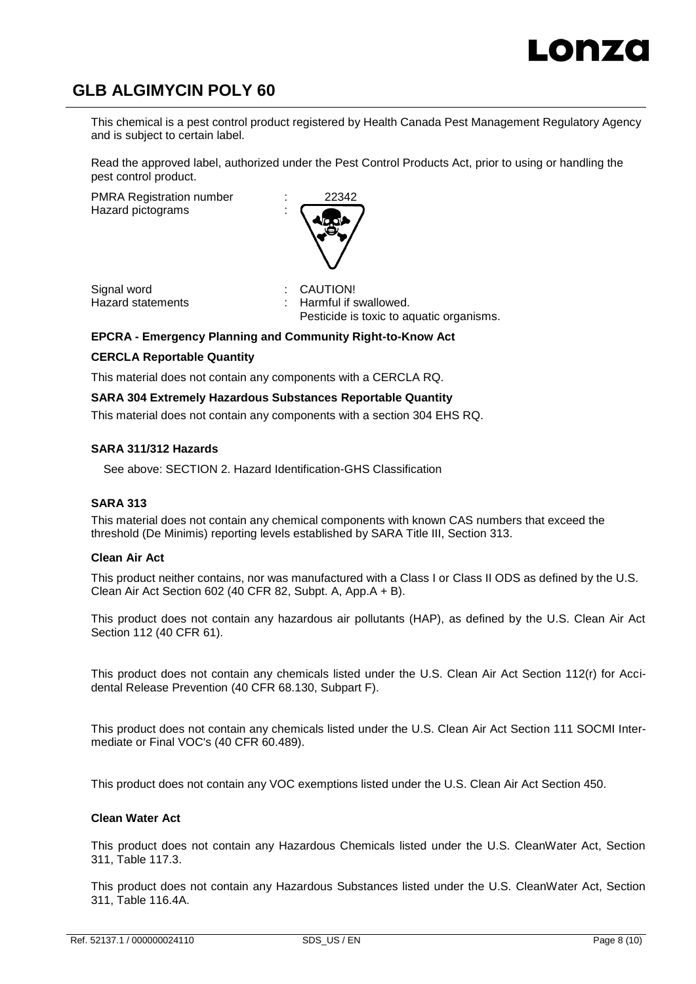This chemical is a pest control product registered by Health Canada Pest Management Regulatory Agency and is subject to certain label.

Read the approved label, authorized under the Pest Control Products Act, prior to using or handling the pest control product.

PMRA Registration number

Hazard pictograms :



Signal word<br>
Hazard statements<br>
Hazard statements<br>
i Harmful if s

Harmful if swallowed. Pesticide is toxic to aquatic organisms.

## **EPCRA - Emergency Planning and Community Right-to-Know Act**

## **CERCLA Reportable Quantity**

This material does not contain any components with a CERCLA RQ.

### **SARA 304 Extremely Hazardous Substances Reportable Quantity**

This material does not contain any components with a section 304 EHS RQ.

### **SARA 311/312 Hazards**

See above: SECTION 2. Hazard Identification-GHS Classification

### **SARA 313**

This material does not contain any chemical components with known CAS numbers that exceed the threshold (De Minimis) reporting levels established by SARA Title III, Section 313.

### **Clean Air Act**

This product neither contains, nor was manufactured with a Class I or Class II ODS as defined by the U.S. Clean Air Act Section 602 (40 CFR 82, Subpt. A, App.A + B).

This product does not contain any hazardous air pollutants (HAP), as defined by the U.S. Clean Air Act Section 112 (40 CFR 61).

This product does not contain any chemicals listed under the U.S. Clean Air Act Section 112(r) for Accidental Release Prevention (40 CFR 68.130, Subpart F).

This product does not contain any chemicals listed under the U.S. Clean Air Act Section 111 SOCMI Intermediate or Final VOC's (40 CFR 60.489).

This product does not contain any VOC exemptions listed under the U.S. Clean Air Act Section 450.

### **Clean Water Act**

This product does not contain any Hazardous Chemicals listed under the U.S. CleanWater Act, Section 311, Table 117.3.

This product does not contain any Hazardous Substances listed under the U.S. CleanWater Act, Section 311, Table 116.4A.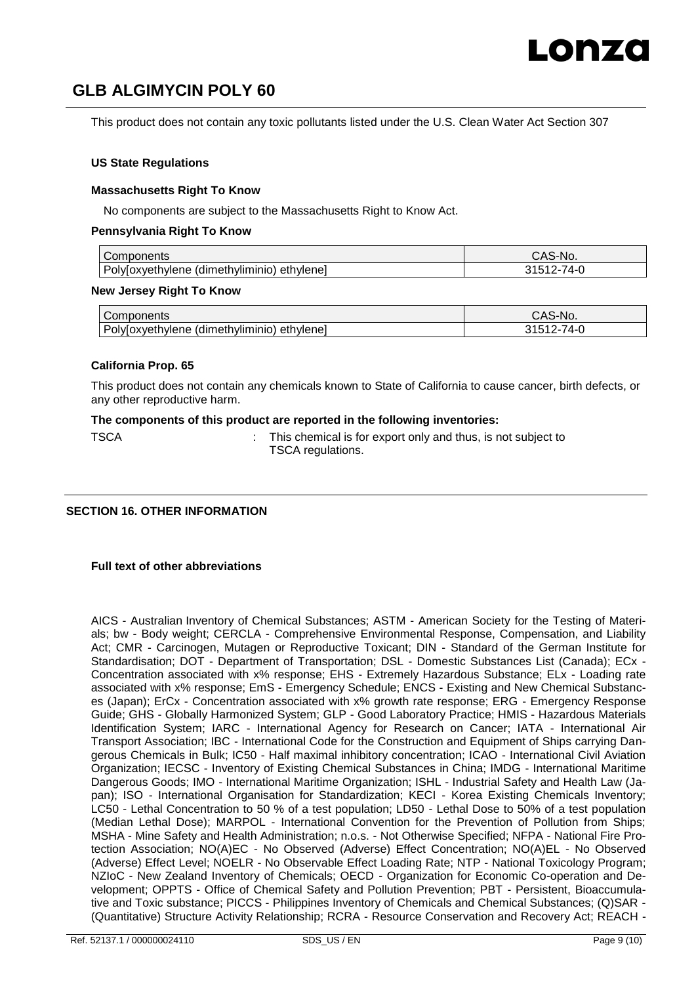This product does not contain any toxic pollutants listed under the U.S. Clean Water Act Section 307

### **US State Regulations**

### **Massachusetts Right To Know**

No components are subject to the Massachusetts Right to Know Act.

### **Pennsylvania Right To Know**

| $\overline{\phantom{a}}$<br>Components                      | 'NU. |
|-------------------------------------------------------------|------|
| Þr<br>™ethvliminio<br>ethylenei<br>oxveth<br>hvlene<br>(air |      |

### **New Jersey Right To Know**

| Components                                          | UAS-*<br>`S-No.                              |
|-----------------------------------------------------|----------------------------------------------|
| Poly[oxyethylene<br>: (dimethyliminio)<br>ethylenel | $\overline{\phantom{a}}$<br>4-L<br>ບ≀ບ<br>ิ้ |

### **California Prop. 65**

This product does not contain any chemicals known to State of California to cause cancer, birth defects, or any other reproductive harm.

### **The components of this product are reported in the following inventories:**

| M.<br>×<br>۰.<br>۰. |  |
|---------------------|--|
|---------------------|--|

 $:$  This chemical is for export only and thus, is not subject to TSCA regulations.

### **SECTION 16. OTHER INFORMATION**

### **Full text of other abbreviations**

AICS - Australian Inventory of Chemical Substances; ASTM - American Society for the Testing of Materials; bw - Body weight; CERCLA - Comprehensive Environmental Response, Compensation, and Liability Act; CMR - Carcinogen, Mutagen or Reproductive Toxicant; DIN - Standard of the German Institute for Standardisation; DOT - Department of Transportation; DSL - Domestic Substances List (Canada); ECx - Concentration associated with x% response; EHS - Extremely Hazardous Substance; ELx - Loading rate associated with x% response; EmS - Emergency Schedule; ENCS - Existing and New Chemical Substances (Japan); ErCx - Concentration associated with x% growth rate response; ERG - Emergency Response Guide; GHS - Globally Harmonized System; GLP - Good Laboratory Practice; HMIS - Hazardous Materials Identification System; IARC - International Agency for Research on Cancer; IATA - International Air Transport Association; IBC - International Code for the Construction and Equipment of Ships carrying Dangerous Chemicals in Bulk; IC50 - Half maximal inhibitory concentration; ICAO - International Civil Aviation Organization; IECSC - Inventory of Existing Chemical Substances in China; IMDG - International Maritime Dangerous Goods; IMO - International Maritime Organization; ISHL - Industrial Safety and Health Law (Japan); ISO - International Organisation for Standardization; KECI - Korea Existing Chemicals Inventory; LC50 - Lethal Concentration to 50 % of a test population; LD50 - Lethal Dose to 50% of a test population (Median Lethal Dose); MARPOL - International Convention for the Prevention of Pollution from Ships; MSHA - Mine Safety and Health Administration; n.o.s. - Not Otherwise Specified; NFPA - National Fire Protection Association; NO(A)EC - No Observed (Adverse) Effect Concentration; NO(A)EL - No Observed (Adverse) Effect Level; NOELR - No Observable Effect Loading Rate; NTP - National Toxicology Program; NZIoC - New Zealand Inventory of Chemicals; OECD - Organization for Economic Co-operation and Development; OPPTS - Office of Chemical Safety and Pollution Prevention; PBT - Persistent, Bioaccumulative and Toxic substance; PICCS - Philippines Inventory of Chemicals and Chemical Substances; (Q)SAR - (Quantitative) Structure Activity Relationship; RCRA - Resource Conservation and Recovery Act; REACH -